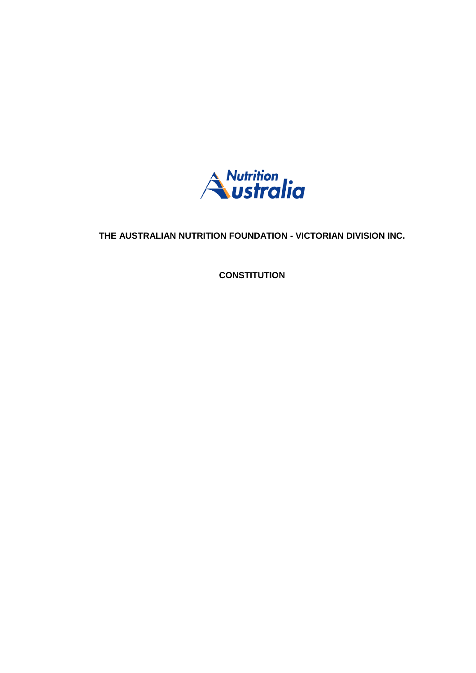

## **THE AUSTRALIAN NUTRITION FOUNDATION - VICTORIAN DIVISION INC.**

**CONSTITUTION**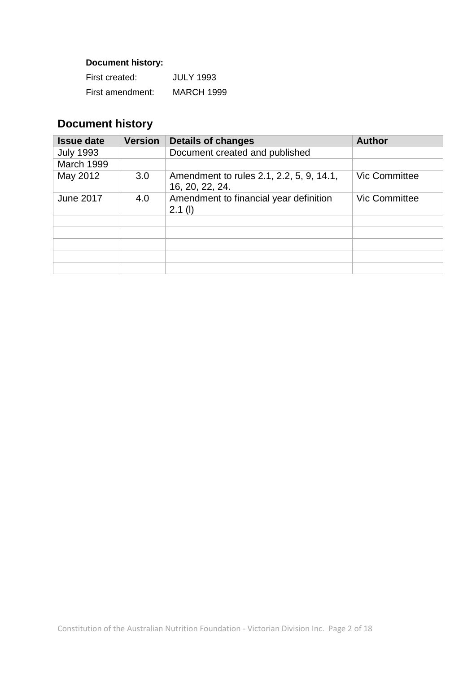## **Document history:**

| First created:   | <b>JULY 1993</b>  |
|------------------|-------------------|
| First amendment: | <b>MARCH 1999</b> |

# **Document history**

| <b>Issue date</b> | <b>Version</b> | <b>Details of changes</b>                                   | <b>Author</b>        |
|-------------------|----------------|-------------------------------------------------------------|----------------------|
| <b>July 1993</b>  |                | Document created and published                              |                      |
| March 1999        |                |                                                             |                      |
| May 2012          | 3.0            | Amendment to rules 2.1, 2.2, 5, 9, 14.1,<br>16, 20, 22, 24. | <b>Vic Committee</b> |
| <b>June 2017</b>  | 4.0            | Amendment to financial year definition<br>$2.1$ (l)         | <b>Vic Committee</b> |
|                   |                |                                                             |                      |
|                   |                |                                                             |                      |
|                   |                |                                                             |                      |
|                   |                |                                                             |                      |
|                   |                |                                                             |                      |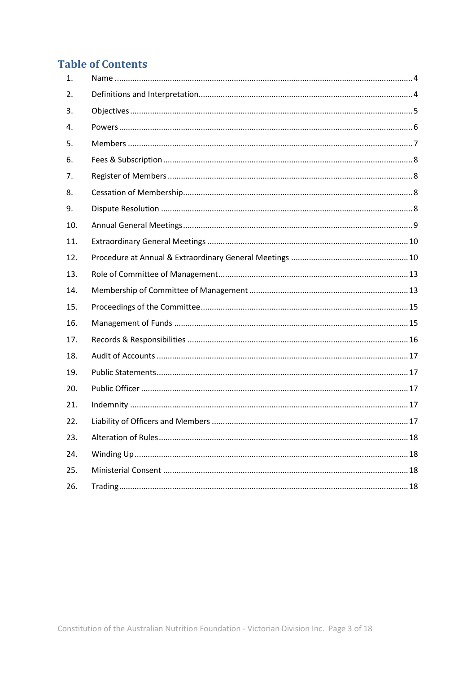## **Table of Contents**

| 1.  |  |
|-----|--|
| 2.  |  |
| 3.  |  |
| 4.  |  |
| 5.  |  |
| 6.  |  |
| 7.  |  |
| 8.  |  |
| 9.  |  |
| 10. |  |
| 11. |  |
| 12. |  |
| 13. |  |
| 14. |  |
| 15. |  |
| 16. |  |
| 17. |  |
| 18. |  |
| 19. |  |
| 20. |  |
| 21. |  |
| 22. |  |
| 23. |  |
| 24. |  |
| 25. |  |
| 26. |  |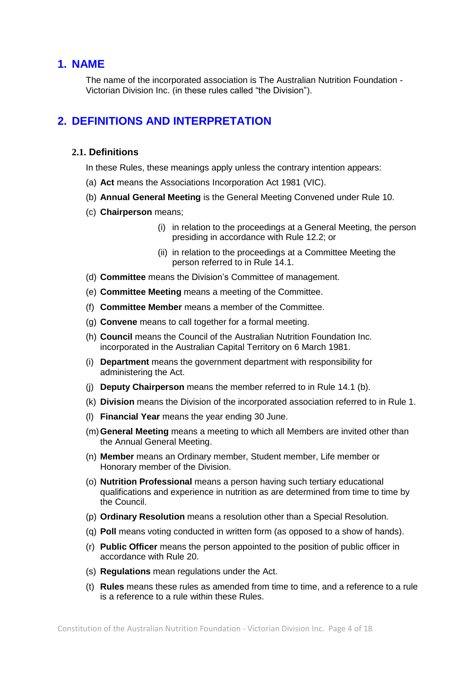## <span id="page-3-0"></span>**1. NAME**

The name of the incorporated association is The Australian Nutrition Foundation - Victorian Division Inc. (in these rules called "the Division").

## <span id="page-3-1"></span>**2. DEFINITIONS AND INTERPRETATION**

#### **2.1. Definitions**

In these Rules, these meanings apply unless the contrary intention appears:

- (a) **Act** means the Associations Incorporation Act 1981 (VIC).
- (b) **Annual General Meeting** is the General Meeting Convened under Rule 10.
- (c) **Chairperson** means;
	- (i) in relation to the proceedings at a General Meeting, the person presiding in accordance with Rule [12.2;](#page-9-2) or
	- (ii) in relation to the proceedings at a Committee Meeting the person referred to in Rule [14.1.](#page-12-2)
- (d) **Committee** means the Division's Committee of management.
- (e) **Committee Meeting** means a meeting of the Committee.
- (f) **Committee Member** means a member of the Committee.
- (g) **Convene** means to call together for a formal meeting.
- (h) **Council** means the Council of the Australian Nutrition Foundation Inc. incorporated in the Australian Capital Territory on 6 March 1981.
- (i) **Department** means the government department with responsibility for administering the Act.
- (j) **Deputy Chairperson** means the member referred to in Rule [14.1](#page-12-2) [\(b\).](#page-12-3)
- (k) **Division** means the Division of the incorporated association referred to in Rule 1.
- (l) **Financial Year** means the year ending 30 June.
- (m)**General Meeting** means a meeting to which all Members are invited other than the Annual General Meeting.
- (n) **Member** means an Ordinary member, Student member, Life member or Honorary member of the Division.
- (o) **Nutrition Professional** means a person having such tertiary educational qualifications and experience in nutrition as are determined from time to time by the Council.
- (p) **Ordinary Resolution** means a resolution other than a Special Resolution.
- (q) **Poll** means voting conducted in written form (as opposed to a show of hands).
- (r) **Public Officer** means the person appointed to the position of public officer in accordance with Rule [20.](#page-16-2)
- (s) **Regulations** mean regulations under the Act.
- (t) **Rules** means these rules as amended from time to time, and a reference to a rule is a reference to a rule within these Rules.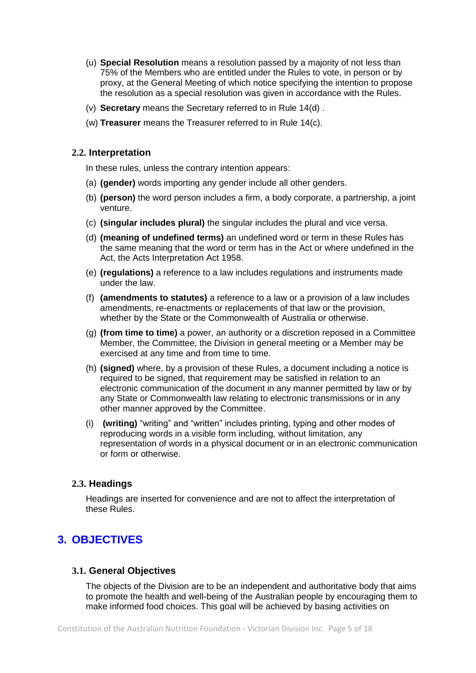- (u) **Special Resolution** means a resolution passed by a majority of not less than 75% of the Members who are entitled under the Rules to vote, in person or by proxy, at the General Meeting of which notice specifying the intention to propose the resolution as a special resolution was given in accordance with the Rules.
- (v) **Secretary** means the Secretary referred to in Rule [14\(d\)](#page-12-1) .
- (w) **Treasurer** means the Treasurer referred to in Rule [14\(c\).](#page-12-1)

#### **2.2. Interpretation**

In these rules, unless the contrary intention appears:

- (a) **(gender)** words importing any gender include all other genders.
- (b) **(person)** the word person includes a firm, a body corporate, a partnership, a joint venture.
- (c) **(singular includes plural)** the singular includes the plural and vice versa.
- (d) **(meaning of undefined terms)** an undefined word or term in these Rules has the same meaning that the word or term has in the Act or where undefined in the Act, the Acts Interpretation Act 1958.
- (e) **(regulations)** a reference to a law includes regulations and instruments made under the law.
- (f) **(amendments to statutes)** a reference to a law or a provision of a law includes amendments, re-enactments or replacements of that law or the provision, whether by the State or the Commonwealth of Australia or otherwise.
- (g) **(from time to time)** a power, an authority or a discretion reposed in a Committee Member, the Committee, the Division in general meeting or a Member may be exercised at any time and from time to time.
- (h) **(signed)** where, by a provision of these Rules, a document including a notice is required to be signed, that requirement may be satisfied in relation to an electronic communication of the document in any manner permitted by law or by any State or Commonwealth law relating to electronic transmissions or in any other manner approved by the Committee.
- (i) **(writing)** "writing" and "written" includes printing, typing and other modes of reproducing words in a visible form including, without limitation, any representation of words in a physical document or in an electronic communication or form or otherwise.

### **2.3. Headings**

Headings are inserted for convenience and are not to affect the interpretation of these Rules.

## <span id="page-4-0"></span>**3. OBJECTIVES**

#### **3.1. General Objectives**

The objects of the Division are to be an independent and authoritative body that aims to promote the health and well-being of the Australian people by encouraging them to make informed food choices. This goal will be achieved by basing activities on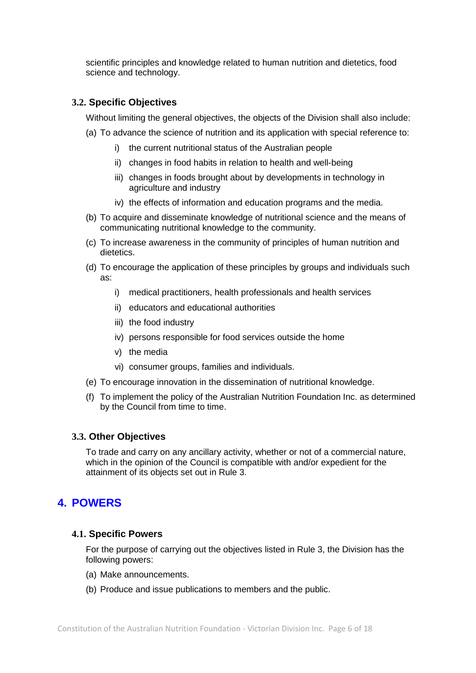scientific principles and knowledge related to human nutrition and dietetics, food science and technology.

#### **3.2. Specific Objectives**

Without limiting the general objectives, the objects of the Division shall also include:

- (a) To advance the science of nutrition and its application with special reference to:
	- i) the current nutritional status of the Australian people
	- ii) changes in food habits in relation to health and well-being
	- iii) changes in foods brought about by developments in technology in agriculture and industry
	- iv) the effects of information and education programs and the media.
- (b) To acquire and disseminate knowledge of nutritional science and the means of communicating nutritional knowledge to the community.
- (c) To increase awareness in the community of principles of human nutrition and dietetics.
- (d) To encourage the application of these principles by groups and individuals such as:
	- i) medical practitioners, health professionals and health services
	- ii) educators and educational authorities
	- iii) the food industry
	- iv) persons responsible for food services outside the home
	- v) the media
	- vi) consumer groups, families and individuals.
- (e) To encourage innovation in the dissemination of nutritional knowledge.
- (f) To implement the policy of the Australian Nutrition Foundation Inc. as determined by the Council from time to time.

#### **3.3. Other Objectives**

To trade and carry on any ancillary activity, whether or not of a commercial nature, which in the opinion of the Council is compatible with and/or expedient for the attainment of its objects set out in Rule [3.](#page-4-0)

## <span id="page-5-0"></span>**4. POWERS**

#### **4.1. Specific Powers**

For the purpose of carrying out the objectives listed in Rule 3, the Division has the following powers:

- (a) Make announcements.
- (b) Produce and issue publications to members and the public.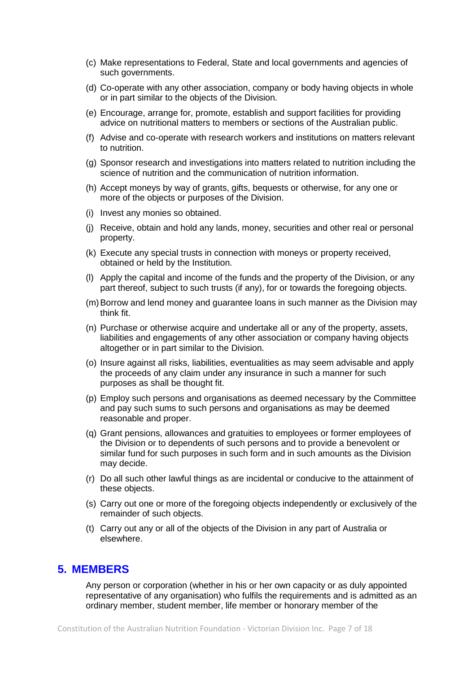- (c) Make representations to Federal, State and local governments and agencies of such governments.
- (d) Co-operate with any other association, company or body having objects in whole or in part similar to the objects of the Division.
- (e) Encourage, arrange for, promote, establish and support facilities for providing advice on nutritional matters to members or sections of the Australian public.
- (f) Advise and co-operate with research workers and institutions on matters relevant to nutrition.
- (g) Sponsor research and investigations into matters related to nutrition including the science of nutrition and the communication of nutrition information.
- (h) Accept moneys by way of grants, gifts, bequests or otherwise, for any one or more of the objects or purposes of the Division.
- (i) Invest any monies so obtained.
- (j) Receive, obtain and hold any lands, money, securities and other real or personal property.
- (k) Execute any special trusts in connection with moneys or property received, obtained or held by the Institution.
- (l) Apply the capital and income of the funds and the property of the Division, or any part thereof, subject to such trusts (if any), for or towards the foregoing objects.
- (m)Borrow and lend money and guarantee loans in such manner as the Division may think fit.
- (n) Purchase or otherwise acquire and undertake all or any of the property, assets, liabilities and engagements of any other association or company having objects altogether or in part similar to the Division.
- (o) Insure against all risks, liabilities, eventualities as may seem advisable and apply the proceeds of any claim under any insurance in such a manner for such purposes as shall be thought fit.
- (p) Employ such persons and organisations as deemed necessary by the Committee and pay such sums to such persons and organisations as may be deemed reasonable and proper.
- (q) Grant pensions, allowances and gratuities to employees or former employees of the Division or to dependents of such persons and to provide a benevolent or similar fund for such purposes in such form and in such amounts as the Division may decide.
- (r) Do all such other lawful things as are incidental or conducive to the attainment of these objects.
- (s) Carry out one or more of the foregoing objects independently or exclusively of the remainder of such objects.
- (t) Carry out any or all of the objects of the Division in any part of Australia or elsewhere.

## <span id="page-6-0"></span>**5. MEMBERS**

Any person or corporation (whether in his or her own capacity or as duly appointed representative of any organisation) who fulfils the requirements and is admitted as an ordinary member, student member, life member or honorary member of the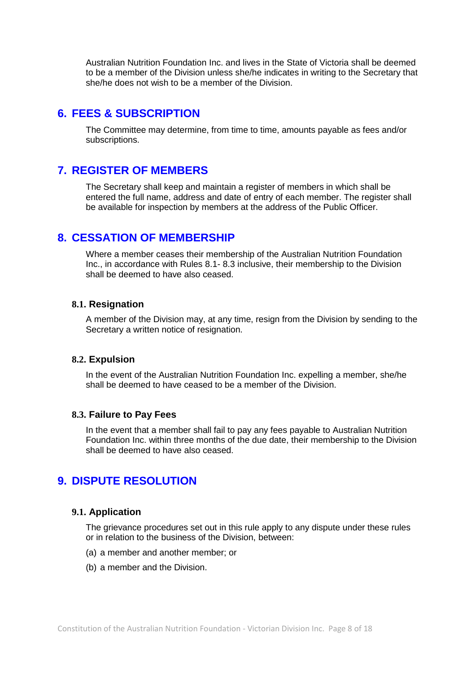Australian Nutrition Foundation Inc. and lives in the State of Victoria shall be deemed to be a member of the Division unless she/he indicates in writing to the Secretary that she/he does not wish to be a member of the Division.

## <span id="page-7-0"></span>**6. FEES & SUBSCRIPTION**

The Committee may determine, from time to time, amounts payable as fees and/or subscriptions.

## <span id="page-7-1"></span>**7. REGISTER OF MEMBERS**

The Secretary shall keep and maintain a register of members in which shall be entered the full name, address and date of entry of each member. The register shall be available for inspection by members at the address of the Public Officer.

## <span id="page-7-2"></span>**8. CESSATION OF MEMBERSHIP**

Where a member ceases their membership of the Australian Nutrition Foundation Inc., in accordance with Rules [8.1-](#page-7-4) [8.3](#page-7-5) inclusive, their membership to the Division shall be deemed to have also ceased.

#### <span id="page-7-4"></span>**8.1. Resignation**

A member of the Division may, at any time, resign from the Division by sending to the Secretary a written notice of resignation.

#### **8.2. Expulsion**

In the event of the Australian Nutrition Foundation Inc. expelling a member, she/he shall be deemed to have ceased to be a member of the Division.

#### <span id="page-7-5"></span>**8.3. Failure to Pay Fees**

In the event that a member shall fail to pay any fees payable to Australian Nutrition Foundation Inc. within three months of the due date, their membership to the Division shall be deemed to have also ceased.

## <span id="page-7-3"></span>**9. DISPUTE RESOLUTION**

#### **9.1. Application**

The grievance procedures set out in this rule apply to any dispute under these rules or in relation to the business of the Division, between:

- (a) a member and another member; or
- (b) a member and the Division.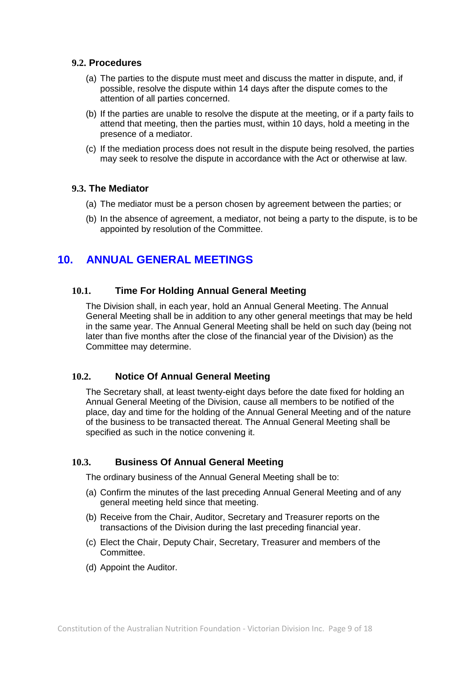#### **9.2. Procedures**

- (a) The parties to the dispute must meet and discuss the matter in dispute, and, if possible, resolve the dispute within 14 days after the dispute comes to the attention of all parties concerned.
- (b) If the parties are unable to resolve the dispute at the meeting, or if a party fails to attend that meeting, then the parties must, within 10 days, hold a meeting in the presence of a mediator.
- (c) If the mediation process does not result in the dispute being resolved, the parties may seek to resolve the dispute in accordance with the Act or otherwise at law.

#### **9.3. The Mediator**

- (a) The mediator must be a person chosen by agreement between the parties; or
- (b) In the absence of agreement, a mediator, not being a party to the dispute, is to be appointed by resolution of the Committee.

## <span id="page-8-0"></span>**10. ANNUAL GENERAL MEETINGS**

### **10.1. Time For Holding Annual General Meeting**

The Division shall, in each year, hold an Annual General Meeting. The Annual General Meeting shall be in addition to any other general meetings that may be held in the same year. The Annual General Meeting shall be held on such day (being not later than five months after the close of the financial year of the Division) as the Committee may determine.

### <span id="page-8-1"></span>**10.2. Notice Of Annual General Meeting**

The Secretary shall, at least twenty-eight days before the date fixed for holding an Annual General Meeting of the Division, cause all members to be notified of the place, day and time for the holding of the Annual General Meeting and of the nature of the business to be transacted thereat. The Annual General Meeting shall be specified as such in the notice convening it.

### **10.3. Business Of Annual General Meeting**

The ordinary business of the Annual General Meeting shall be to:

- (a) Confirm the minutes of the last preceding Annual General Meeting and of any general meeting held since that meeting.
- (b) Receive from the Chair, Auditor, Secretary and Treasurer reports on the transactions of the Division during the last preceding financial year.
- (c) Elect the Chair, Deputy Chair, Secretary, Treasurer and members of the Committee.
- (d) Appoint the Auditor.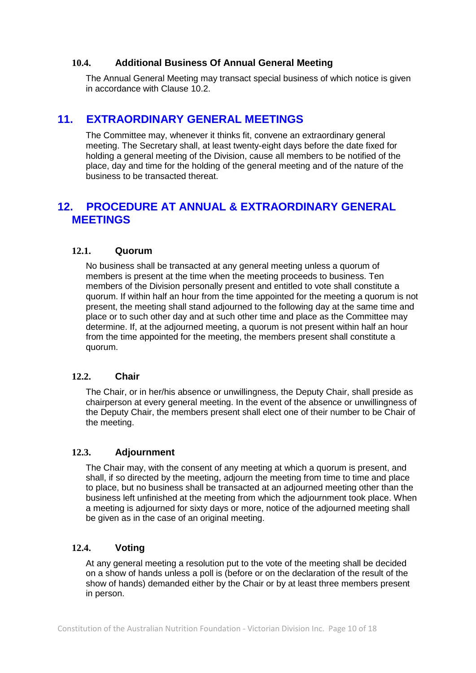### **10.4. Additional Business Of Annual General Meeting**

The Annual General Meeting may transact special business of which notice is given in accordance with Clause [10.2.](#page-8-1)

## <span id="page-9-0"></span>**11. EXTRAORDINARY GENERAL MEETINGS**

The Committee may, whenever it thinks fit, convene an extraordinary general meeting. The Secretary shall, at least twenty-eight days before the date fixed for holding a general meeting of the Division, cause all members to be notified of the place, day and time for the holding of the general meeting and of the nature of the business to be transacted thereat.

## <span id="page-9-1"></span>**12. PROCEDURE AT ANNUAL & EXTRAORDINARY GENERAL MEETINGS**

### **12.1. Quorum**

No business shall be transacted at any general meeting unless a quorum of members is present at the time when the meeting proceeds to business. Ten members of the Division personally present and entitled to vote shall constitute a quorum. If within half an hour from the time appointed for the meeting a quorum is not present, the meeting shall stand adjourned to the following day at the same time and place or to such other day and at such other time and place as the Committee may determine. If, at the adjourned meeting, a quorum is not present within half an hour from the time appointed for the meeting, the members present shall constitute a quorum.

#### <span id="page-9-2"></span>**12.2. Chair**

The Chair, or in her/his absence or unwillingness, the Deputy Chair, shall preside as chairperson at every general meeting. In the event of the absence or unwillingness of the Deputy Chair, the members present shall elect one of their number to be Chair of the meeting.

#### **12.3. Adjournment**

The Chair may, with the consent of any meeting at which a quorum is present, and shall, if so directed by the meeting, adjourn the meeting from time to time and place to place, but no business shall be transacted at an adjourned meeting other than the business left unfinished at the meeting from which the adjournment took place. When a meeting is adjourned for sixty days or more, notice of the adjourned meeting shall be given as in the case of an original meeting.

#### <span id="page-9-3"></span>**12.4. Voting**

At any general meeting a resolution put to the vote of the meeting shall be decided on a show of hands unless a poll is (before or on the declaration of the result of the show of hands) demanded either by the Chair or by at least three members present in person.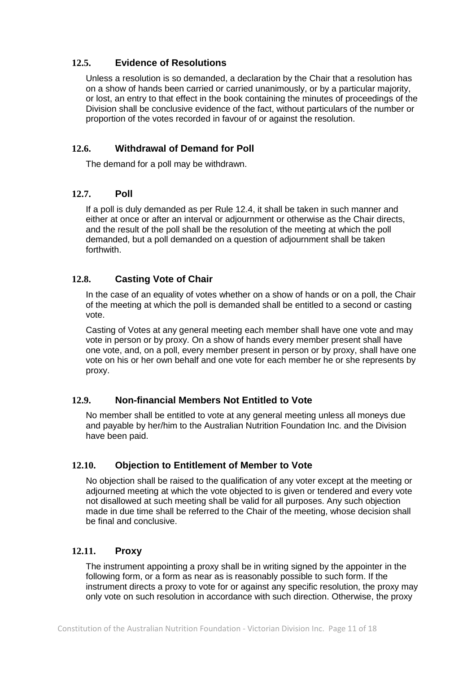### **12.5. Evidence of Resolutions**

Unless a resolution is so demanded, a declaration by the Chair that a resolution has on a show of hands been carried or carried unanimously, or by a particular majority, or lost, an entry to that effect in the book containing the minutes of proceedings of the Division shall be conclusive evidence of the fact, without particulars of the number or proportion of the votes recorded in favour of or against the resolution.

## **12.6. Withdrawal of Demand for Poll**

The demand for a poll may be withdrawn.

## **12.7. Poll**

If a poll is duly demanded as per Rule [12.4,](#page-9-3) it shall be taken in such manner and either at once or after an interval or adjournment or otherwise as the Chair directs, and the result of the poll shall be the resolution of the meeting at which the poll demanded, but a poll demanded on a question of adjournment shall be taken forthwith.

## **12.8. Casting Vote of Chair**

In the case of an equality of votes whether on a show of hands or on a poll, the Chair of the meeting at which the poll is demanded shall be entitled to a second or casting vote.

Casting of Votes at any general meeting each member shall have one vote and may vote in person or by proxy. On a show of hands every member present shall have one vote, and, on a poll, every member present in person or by proxy, shall have one vote on his or her own behalf and one vote for each member he or she represents by proxy.

### **12.9. Non-financial Members Not Entitled to Vote**

No member shall be entitled to vote at any general meeting unless all moneys due and payable by her/him to the Australian Nutrition Foundation Inc. and the Division have been paid.

## **12.10. Objection to Entitlement of Member to Vote**

No objection shall be raised to the qualification of any voter except at the meeting or adjourned meeting at which the vote objected to is given or tendered and every vote not disallowed at such meeting shall be valid for all purposes. Any such objection made in due time shall be referred to the Chair of the meeting, whose decision shall be final and conclusive.

### **12.11. Proxy**

The instrument appointing a proxy shall be in writing signed by the appointer in the following form, or a form as near as is reasonably possible to such form. If the instrument directs a proxy to vote for or against any specific resolution, the proxy may only vote on such resolution in accordance with such direction. Otherwise, the proxy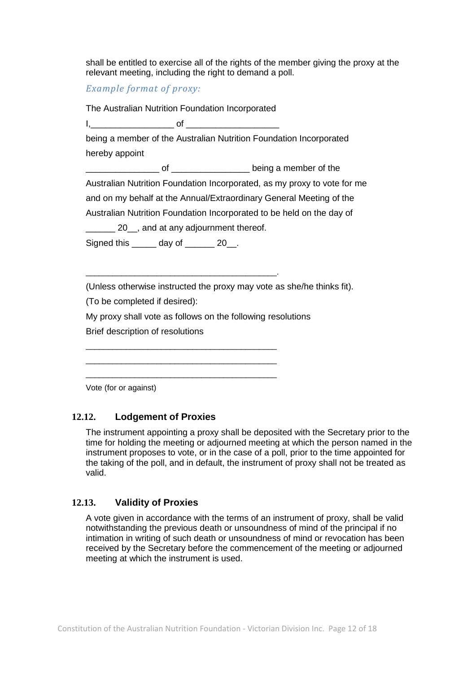shall be entitled to exercise all of the rights of the member giving the proxy at the relevant meeting, including the right to demand a poll.

### *Example format of proxy:*

The Australian Nutrition Foundation Incorporated

 $\mathsf{I},\mathsf{I}$ 

being a member of the Australian Nutrition Foundation Incorporated hereby appoint

of <u>\_\_\_\_\_\_\_\_\_\_\_\_</u> being a member of the

Australian Nutrition Foundation Incorporated, as my proxy to vote for me

and on my behalf at the Annual/Extraordinary General Meeting of the

Australian Nutrition Foundation Incorporated to be held on the day of

20 , and at any adjournment thereof.

\_\_\_\_\_\_\_\_\_\_\_\_\_\_\_\_\_\_\_\_\_\_\_\_\_\_\_\_\_\_\_\_\_\_\_\_\_\_\_\_\_\_\_.

\_\_\_\_\_\_\_\_\_\_\_\_\_\_\_\_\_\_\_\_\_\_\_\_\_\_\_\_\_\_\_\_\_\_\_\_\_\_\_\_\_\_\_ \_\_\_\_\_\_\_\_\_\_\_\_\_\_\_\_\_\_\_\_\_\_\_\_\_\_\_\_\_\_\_\_\_\_\_\_\_\_\_\_\_\_\_ \_\_\_\_\_\_\_\_\_\_\_\_\_\_\_\_\_\_\_\_\_\_\_\_\_\_\_\_\_\_\_\_\_\_\_\_\_\_\_\_\_\_\_

Signed this day of 20.

(Unless otherwise instructed the proxy may vote as she/he thinks fit).

(To be completed if desired):

My proxy shall vote as follows on the following resolutions

Brief description of resolutions

Vote (for or against)

### **12.12. Lodgement of Proxies**

The instrument appointing a proxy shall be deposited with the Secretary prior to the time for holding the meeting or adjourned meeting at which the person named in the instrument proposes to vote, or in the case of a poll, prior to the time appointed for the taking of the poll, and in default, the instrument of proxy shall not be treated as valid.

### **12.13. Validity of Proxies**

A vote given in accordance with the terms of an instrument of proxy, shall be valid notwithstanding the previous death or unsoundness of mind of the principal if no intimation in writing of such death or unsoundness of mind or revocation has been received by the Secretary before the commencement of the meeting or adjourned meeting at which the instrument is used.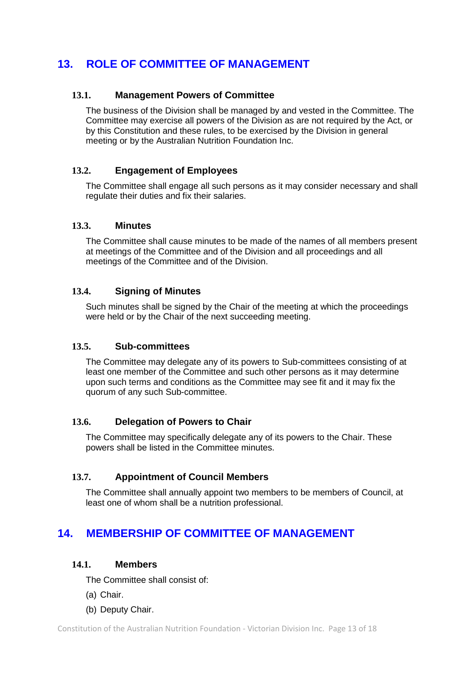## <span id="page-12-0"></span>**13. ROLE OF COMMITTEE OF MANAGEMENT**

### **13.1. Management Powers of Committee**

The business of the Division shall be managed by and vested in the Committee. The Committee may exercise all powers of the Division as are not required by the Act, or by this Constitution and these rules, to be exercised by the Division in general meeting or by the Australian Nutrition Foundation Inc.

#### **13.2. Engagement of Employees**

The Committee shall engage all such persons as it may consider necessary and shall regulate their duties and fix their salaries.

#### **13.3. Minutes**

The Committee shall cause minutes to be made of the names of all members present at meetings of the Committee and of the Division and all proceedings and all meetings of the Committee and of the Division.

#### **13.4. Signing of Minutes**

Such minutes shall be signed by the Chair of the meeting at which the proceedings were held or by the Chair of the next succeeding meeting.

#### **13.5. Sub-committees**

The Committee may delegate any of its powers to Sub-committees consisting of at least one member of the Committee and such other persons as it may determine upon such terms and conditions as the Committee may see fit and it may fix the quorum of any such Sub-committee.

#### **13.6. Delegation of Powers to Chair**

The Committee may specifically delegate any of its powers to the Chair. These powers shall be listed in the Committee minutes.

#### **13.7. Appointment of Council Members**

The Committee shall annually appoint two members to be members of Council, at least one of whom shall be a nutrition professional.

## <span id="page-12-2"></span><span id="page-12-1"></span>**14. MEMBERSHIP OF COMMITTEE OF MANAGEMENT**

#### **14.1. Members**

The Committee shall consist of:

- (a) Chair.
- (b) Deputy Chair.

<span id="page-12-3"></span>Constitution of the Australian Nutrition Foundation - Victorian Division Inc. Page 13 of 18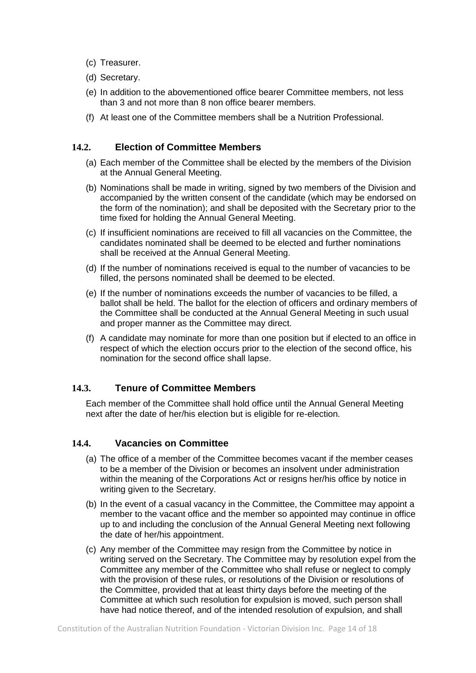- (c) Treasurer.
- (d) Secretary.
- (e) In addition to the abovementioned office bearer Committee members, not less than 3 and not more than 8 non office bearer members.
- (f) At least one of the Committee members shall be a Nutrition Professional.

### **14.2. Election of Committee Members**

- (a) Each member of the Committee shall be elected by the members of the Division at the Annual General Meeting.
- (b) Nominations shall be made in writing, signed by two members of the Division and accompanied by the written consent of the candidate (which may be endorsed on the form of the nomination); and shall be deposited with the Secretary prior to the time fixed for holding the Annual General Meeting.
- (c) If insufficient nominations are received to fill all vacancies on the Committee, the candidates nominated shall be deemed to be elected and further nominations shall be received at the Annual General Meeting.
- (d) If the number of nominations received is equal to the number of vacancies to be filled, the persons nominated shall be deemed to be elected.
- (e) If the number of nominations exceeds the number of vacancies to be filled, a ballot shall be held. The ballot for the election of officers and ordinary members of the Committee shall be conducted at the Annual General Meeting in such usual and proper manner as the Committee may direct.
- (f) A candidate may nominate for more than one position but if elected to an office in respect of which the election occurs prior to the election of the second office, his nomination for the second office shall lapse.

### **14.3. Tenure of Committee Members**

Each member of the Committee shall hold office until the Annual General Meeting next after the date of her/his election but is eligible for re-election.

#### **14.4. Vacancies on Committee**

- (a) The office of a member of the Committee becomes vacant if the member ceases to be a member of the Division or becomes an insolvent under administration within the meaning of the Corporations Act or resigns her/his office by notice in writing given to the Secretary.
- (b) In the event of a casual vacancy in the Committee, the Committee may appoint a member to the vacant office and the member so appointed may continue in office up to and including the conclusion of the Annual General Meeting next following the date of her/his appointment.
- (c) Any member of the Committee may resign from the Committee by notice in writing served on the Secretary. The Committee may by resolution expel from the Committee any member of the Committee who shall refuse or neglect to comply with the provision of these rules, or resolutions of the Division or resolutions of the Committee, provided that at least thirty days before the meeting of the Committee at which such resolution for expulsion is moved, such person shall have had notice thereof, and of the intended resolution of expulsion, and shall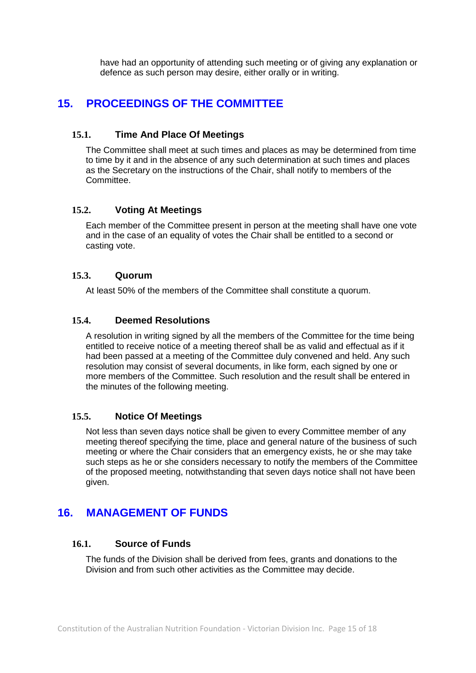have had an opportunity of attending such meeting or of giving any explanation or defence as such person may desire, either orally or in writing.

## <span id="page-14-0"></span>**15. PROCEEDINGS OF THE COMMITTEE**

#### **15.1. Time And Place Of Meetings**

The Committee shall meet at such times and places as may be determined from time to time by it and in the absence of any such determination at such times and places as the Secretary on the instructions of the Chair, shall notify to members of the Committee.

### **15.2. Voting At Meetings**

Each member of the Committee present in person at the meeting shall have one vote and in the case of an equality of votes the Chair shall be entitled to a second or casting vote.

#### **15.3. Quorum**

At least 50% of the members of the Committee shall constitute a quorum.

#### **15.4. Deemed Resolutions**

A resolution in writing signed by all the members of the Committee for the time being entitled to receive notice of a meeting thereof shall be as valid and effectual as if it had been passed at a meeting of the Committee duly convened and held. Any such resolution may consist of several documents, in like form, each signed by one or more members of the Committee. Such resolution and the result shall be entered in the minutes of the following meeting.

#### **15.5. Notice Of Meetings**

Not less than seven days notice shall be given to every Committee member of any meeting thereof specifying the time, place and general nature of the business of such meeting or where the Chair considers that an emergency exists, he or she may take such steps as he or she considers necessary to notify the members of the Committee of the proposed meeting, notwithstanding that seven days notice shall not have been given.

## <span id="page-14-1"></span>**16. MANAGEMENT OF FUNDS**

#### **16.1. Source of Funds**

The funds of the Division shall be derived from fees, grants and donations to the Division and from such other activities as the Committee may decide.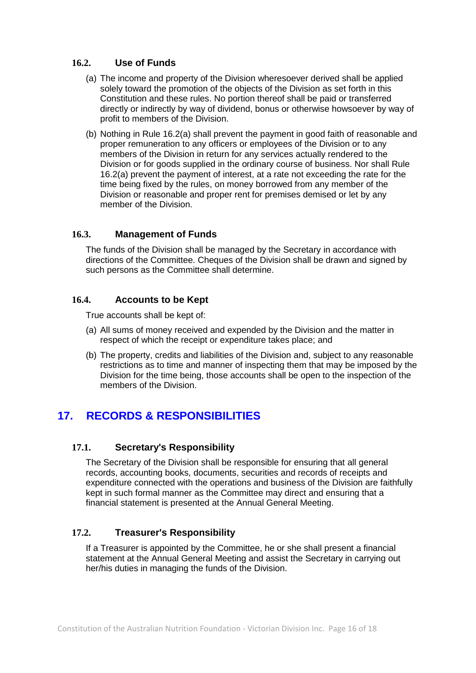### <span id="page-15-1"></span>**16.2. Use of Funds**

- (a) The income and property of the Division wheresoever derived shall be applied solely toward the promotion of the objects of the Division as set forth in this Constitution and these rules. No portion thereof shall be paid or transferred directly or indirectly by way of dividend, bonus or otherwise howsoever by way of profit to members of the Division.
- (b) Nothing in Rule [16.2\(a\)](#page-15-1) shall prevent the payment in good faith of reasonable and proper remuneration to any officers or employees of the Division or to any members of the Division in return for any services actually rendered to the Division or for goods supplied in the ordinary course of business. Nor shall Rule [16.2\(a\)](#page-15-1) prevent the payment of interest, at a rate not exceeding the rate for the time being fixed by the rules, on money borrowed from any member of the Division or reasonable and proper rent for premises demised or let by any member of the Division.

## **16.3. Management of Funds**

The funds of the Division shall be managed by the Secretary in accordance with directions of the Committee. Cheques of the Division shall be drawn and signed by such persons as the Committee shall determine.

## **16.4. Accounts to be Kept**

True accounts shall be kept of:

- (a) All sums of money received and expended by the Division and the matter in respect of which the receipt or expenditure takes place; and
- (b) The property, credits and liabilities of the Division and, subject to any reasonable restrictions as to time and manner of inspecting them that may be imposed by the Division for the time being, those accounts shall be open to the inspection of the members of the Division.

## <span id="page-15-0"></span>**17. RECORDS & RESPONSIBILITIES**

### **17.1. Secretary's Responsibility**

The Secretary of the Division shall be responsible for ensuring that all general records, accounting books, documents, securities and records of receipts and expenditure connected with the operations and business of the Division are faithfully kept in such formal manner as the Committee may direct and ensuring that a financial statement is presented at the Annual General Meeting.

### **17.2. Treasurer's Responsibility**

If a Treasurer is appointed by the Committee, he or she shall present a financial statement at the Annual General Meeting and assist the Secretary in carrying out her/his duties in managing the funds of the Division.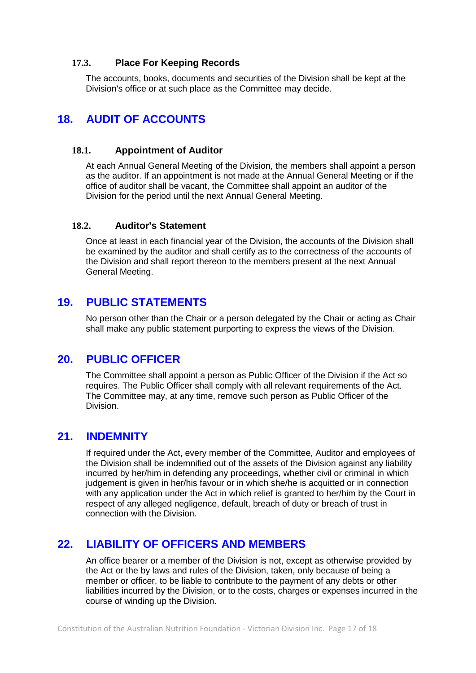#### **17.3. Place For Keeping Records**

The accounts, books, documents and securities of the Division shall be kept at the Division's office or at such place as the Committee may decide.

## <span id="page-16-0"></span>**18. AUDIT OF ACCOUNTS**

#### **18.1. Appointment of Auditor**

At each Annual General Meeting of the Division, the members shall appoint a person as the auditor. If an appointment is not made at the Annual General Meeting or if the office of auditor shall be vacant, the Committee shall appoint an auditor of the Division for the period until the next Annual General Meeting.

#### **18.2. Auditor's Statement**

Once at least in each financial year of the Division, the accounts of the Division shall be examined by the auditor and shall certify as to the correctness of the accounts of the Division and shall report thereon to the members present at the next Annual General Meeting.

## <span id="page-16-1"></span>**19. PUBLIC STATEMENTS**

No person other than the Chair or a person delegated by the Chair or acting as Chair shall make any public statement purporting to express the views of the Division.

## <span id="page-16-2"></span>**20. PUBLIC OFFICER**

The Committee shall appoint a person as Public Officer of the Division if the Act so requires. The Public Officer shall comply with all relevant requirements of the Act. The Committee may, at any time, remove such person as Public Officer of the Division.

## <span id="page-16-3"></span>**21. INDEMNITY**

If required under the Act, every member of the Committee, Auditor and employees of the Division shall be indemnified out of the assets of the Division against any liability incurred by her/him in defending any proceedings, whether civil or criminal in which judgement is given in her/his favour or in which she/he is acquitted or in connection with any application under the Act in which relief is granted to her/him by the Court in respect of any alleged negligence, default, breach of duty or breach of trust in connection with the Division.

## <span id="page-16-4"></span>**22. LIABILITY OF OFFICERS AND MEMBERS**

An office bearer or a member of the Division is not, except as otherwise provided by the Act or the by laws and rules of the Division, taken, only because of being a member or officer, to be liable to contribute to the payment of any debts or other liabilities incurred by the Division, or to the costs, charges or expenses incurred in the course of winding up the Division.